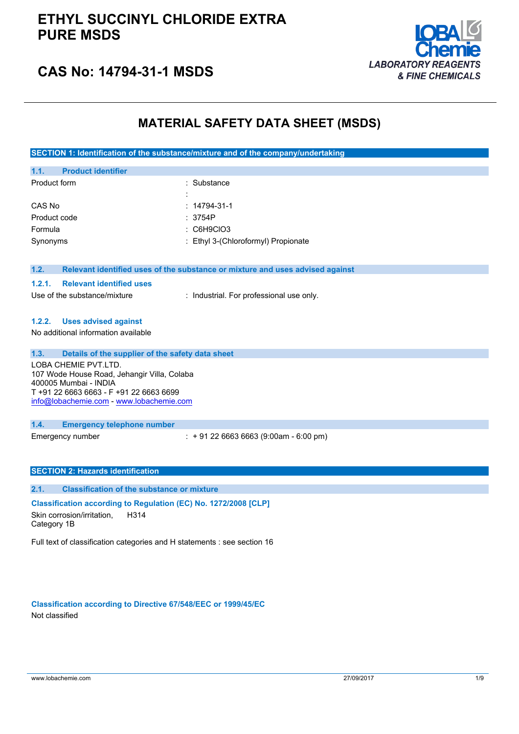

## **CAS No: 14794-31-1 MSDS**

### **MATERIAL SAFETY DATA SHEET (MSDS)**

**SECTION 1: Identification of the substance/mixture and of the company/undertaking**

| <b>Product identifier</b><br>1.1. |                                     |
|-----------------------------------|-------------------------------------|
| Product form                      | : Substance                         |
|                                   | ٠<br>$\overline{\phantom{a}}$       |
| CAS No                            | $: 14794 - 31 - 1$                  |
| Product code                      | : 3754P                             |
| Formula                           | $:$ C6H9CIO3                        |
| Synonyms                          | : Ethyl 3-(Chloroformyl) Propionate |
|                                   |                                     |

#### **1.2. Relevant identified uses of the substance or mixture and uses advised against**

### **1.2.1. Relevant identified uses**

Use of the substance/mixture : Industrial. For professional use only.

### **1.2.2. Uses advised against**

No additional information available

### **1.3. Details of the supplier of the safety data sheet**

LOBA CHEMIE PVT.LTD. 107 Wode House Road, Jehangir Villa, Colaba 400005 Mumbai - INDIA T +91 22 6663 6663 - F +91 22 6663 6699 [info@lobachemie.com](mailto:info@lobachemie.com) - <www.lobachemie.com>

### **1.4. Emergency telephone number**

Emergency number : + 91 22 6663 6663 (9:00am - 6:00 pm)

### **SECTION 2: Hazards identification**

### **2.1. Classification of the substance or mixture**

**Classification according to Regulation (EC) No. 1272/2008 [CLP]** Skin corrosion/irritation, H314

Category 1B

Full text of classification categories and H statements : see section 16

**Classification according to Directive 67/548/EEC or 1999/45/EC** Not classified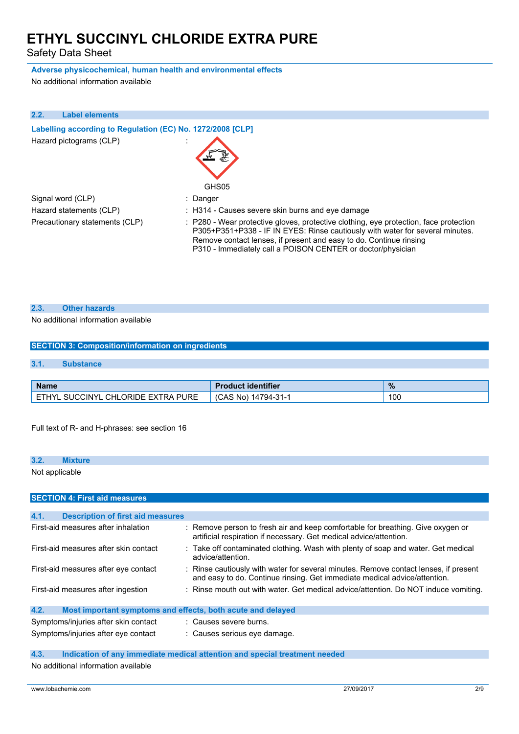Safety Data Sheet

### **Adverse physicochemical, human health and environmental effects**

No additional information available

| 2.2. | <b>Label elements</b>                                      |                                                                                                                                                                                                                                                                                                             |
|------|------------------------------------------------------------|-------------------------------------------------------------------------------------------------------------------------------------------------------------------------------------------------------------------------------------------------------------------------------------------------------------|
|      | Labelling according to Regulation (EC) No. 1272/2008 [CLP] |                                                                                                                                                                                                                                                                                                             |
|      | Hazard pictograms (CLP)                                    | GHS05                                                                                                                                                                                                                                                                                                       |
|      | Signal word (CLP)                                          | : Danger                                                                                                                                                                                                                                                                                                    |
|      | Hazard statements (CLP)                                    | : H314 - Causes severe skin burns and eye damage                                                                                                                                                                                                                                                            |
|      | Precautionary statements (CLP)                             | : P280 - Wear protective gloves, protective clothing, eye protection, face protection<br>P305+P351+P338 - IF IN EYES: Rinse cautiously with water for several minutes.<br>Remove contact lenses, if present and easy to do. Continue rinsing<br>P310 - Immediately call a POISON CENTER or doctor/physician |

### **2.3. Other hazards**

### No additional information available

## **SECTION 3: Composition/information on ingredients 3.1. Substance**

| <b>Name</b>                                       | <b>Product identifier</b> | $\frac{9}{6}$ |
|---------------------------------------------------|---------------------------|---------------|
| SUCCINYI<br>. CHLORIDE EXTRA PURE<br><b>ETHVI</b> | 14794-31-<br>(CAS No)     | 100           |

Full text of R- and H-phrases: see section 16

# **3.2. Mixture** Not applicable **SECTION 4: First aid measures**

| 4.1.<br><b>Description of first aid measures</b>                    |                                                                                                                                                                   |
|---------------------------------------------------------------------|-------------------------------------------------------------------------------------------------------------------------------------------------------------------|
| First-aid measures after inhalation                                 | : Remove person to fresh air and keep comfortable for breathing. Give oxygen or<br>artificial respiration if necessary. Get medical advice/attention.             |
| First-aid measures after skin contact                               | : Take off contaminated clothing. Wash with plenty of soap and water. Get medical<br>advice/attention.                                                            |
| First-aid measures after eye contact                                | : Rinse cautiously with water for several minutes. Remove contact lenses, if present<br>and easy to do. Continue rinsing. Get immediate medical advice/attention. |
| First-aid measures after ingestion                                  | : Rinse mouth out with water. Get medical advice/attention. Do NOT induce vomiting.                                                                               |
| 4.2.<br>Most important symptoms and effects, both acute and delayed |                                                                                                                                                                   |
| Symptoms/injuries after skin contact                                | : Causes severe burns.                                                                                                                                            |
| Symptoms/injuries after eye contact                                 | : Causes serious eve damage.                                                                                                                                      |

### **4.3. Indication of any immediate medical attention and special treatment needed**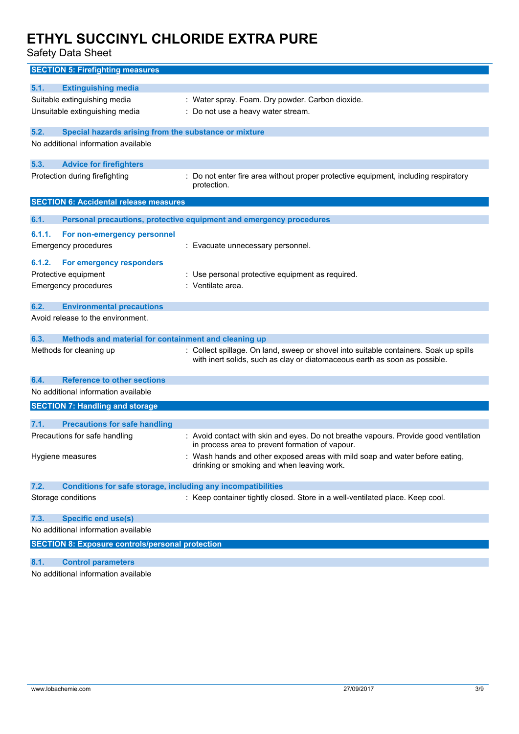Safety Data Sheet

| <b>SECTION 5: Firefighting measures</b>                                                              |                                                                                                    |
|------------------------------------------------------------------------------------------------------|----------------------------------------------------------------------------------------------------|
| 5.1.<br><b>Extinguishing media</b>                                                                   |                                                                                                    |
| Suitable extinguishing media                                                                         | : Water spray. Foam. Dry powder. Carbon dioxide.                                                   |
| Unsuitable extinguishing media                                                                       | : Do not use a heavy water stream.                                                                 |
|                                                                                                      |                                                                                                    |
| 5.2.<br>Special hazards arising from the substance or mixture<br>No additional information available |                                                                                                    |
|                                                                                                      |                                                                                                    |
| <b>Advice for firefighters</b><br>5.3.                                                               |                                                                                                    |
| Protection during firefighting                                                                       | : Do not enter fire area without proper protective equipment, including respiratory<br>protection. |
| <b>SECTION 6: Accidental release measures</b>                                                        |                                                                                                    |
| 6.1.                                                                                                 | Personal precautions, protective equipment and emergency procedures                                |
| 6.1.1.<br>For non-emergency personnel                                                                |                                                                                                    |
| <b>Emergency procedures</b>                                                                          | : Evacuate unnecessary personnel.                                                                  |
|                                                                                                      |                                                                                                    |
| For emergency responders<br>6.1.2.<br>Protective equipment                                           | : Use personal protective equipment as required.                                                   |
| <b>Emergency procedures</b>                                                                          | : Ventilate area.                                                                                  |
|                                                                                                      |                                                                                                    |
| 6.2.<br><b>Environmental precautions</b>                                                             |                                                                                                    |
| Avoid release to the environment.                                                                    |                                                                                                    |
| 6.3.<br>Methods and material for containment and cleaning up                                         |                                                                                                    |
| Methods for cleaning up                                                                              | : Collect spillage. On land, sweep or shovel into suitable containers. Soak up spills              |
|                                                                                                      | with inert solids, such as clay or diatomaceous earth as soon as possible.                         |
| 6.4.<br><b>Reference to other sections</b>                                                           |                                                                                                    |
| No additional information available                                                                  |                                                                                                    |
| <b>SECTION 7: Handling and storage</b>                                                               |                                                                                                    |
|                                                                                                      |                                                                                                    |
| 7.1.<br><b>Precautions for safe handling</b><br>Precautions for safe handling                        | : Avoid contact with skin and eyes. Do not breathe vapours. Provide good ventilation               |
|                                                                                                      | in process area to prevent formation of vapour.                                                    |
| Hygiene measures                                                                                     | Wash hands and other exposed areas with mild soap and water before eating,                         |
|                                                                                                      | drinking or smoking and when leaving work.                                                         |
| 7.2.<br><b>Conditions for safe storage, including any incompatibilities</b>                          |                                                                                                    |
| Storage conditions                                                                                   | : Keep container tightly closed. Store in a well-ventilated place. Keep cool.                      |
|                                                                                                      |                                                                                                    |
| <b>Specific end use(s)</b><br>7.3.                                                                   |                                                                                                    |
| No additional information available                                                                  |                                                                                                    |
| <b>SECTION 8: Exposure controls/personal protection</b>                                              |                                                                                                    |
| 8.1.<br><b>Control parameters</b>                                                                    |                                                                                                    |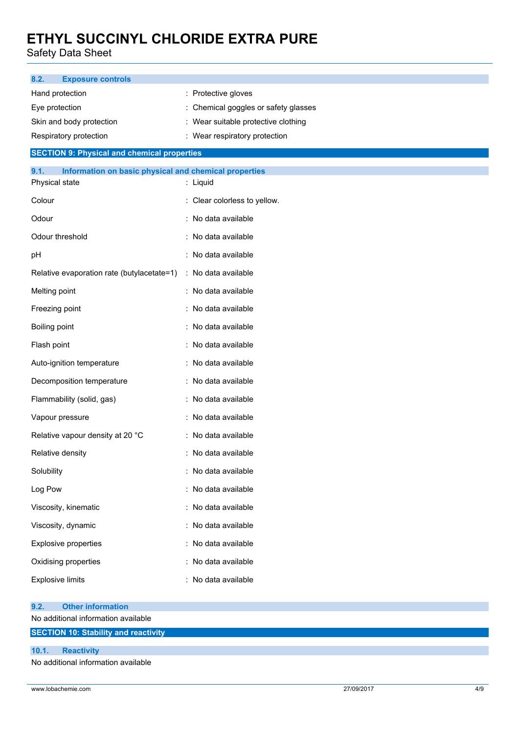Safety Data Sheet

| <b>Exposure controls</b><br>8.2.                              |                                     |  |  |  |  |
|---------------------------------------------------------------|-------------------------------------|--|--|--|--|
| Hand protection                                               | : Protective gloves                 |  |  |  |  |
| Eye protection                                                | Chemical goggles or safety glasses  |  |  |  |  |
| Skin and body protection                                      | : Wear suitable protective clothing |  |  |  |  |
| Respiratory protection<br>Wear respiratory protection         |                                     |  |  |  |  |
| <b>SECTION 9: Physical and chemical properties</b>            |                                     |  |  |  |  |
| 9.1.<br>Information on basic physical and chemical properties |                                     |  |  |  |  |
| Physical state                                                | : Liquid                            |  |  |  |  |
| Colour                                                        | : Clear colorless to yellow.        |  |  |  |  |
| Odour                                                         | : No data available                 |  |  |  |  |
| Odour threshold                                               | : No data available                 |  |  |  |  |
| pH                                                            | : No data available                 |  |  |  |  |
| Relative evaporation rate (butylacetate=1)                    | : No data available                 |  |  |  |  |
| Melting point                                                 | : No data available                 |  |  |  |  |
| Freezing point                                                | : No data available                 |  |  |  |  |
| Boiling point                                                 | : No data available                 |  |  |  |  |
| Flash point                                                   | : No data available                 |  |  |  |  |
| Auto-ignition temperature                                     | : No data available                 |  |  |  |  |
| Decomposition temperature                                     | : No data available                 |  |  |  |  |
| Flammability (solid, gas)                                     | : No data available                 |  |  |  |  |
| Vapour pressure                                               | : No data available                 |  |  |  |  |
| Relative vapour density at 20 °C                              | : No data available                 |  |  |  |  |
| Relative density                                              | : No data available                 |  |  |  |  |
| Solubility                                                    | : No data available                 |  |  |  |  |
| Log Pow                                                       | : No data available                 |  |  |  |  |
| Viscosity, kinematic                                          | : No data available                 |  |  |  |  |
| Viscosity, dynamic                                            | : No data available                 |  |  |  |  |
| Explosive properties                                          | : No data available                 |  |  |  |  |
| Oxidising properties                                          | : No data available                 |  |  |  |  |
| <b>Explosive limits</b>                                       | : No data available                 |  |  |  |  |
| <b>Other information</b><br>9.2.                              |                                     |  |  |  |  |
| No additional information available                           |                                     |  |  |  |  |
| <b>SECTION 10: Stability and reactivity</b>                   |                                     |  |  |  |  |

| 10.1. | <b>Reactivity</b>                 |
|-------|-----------------------------------|
|       | No additional information quailab |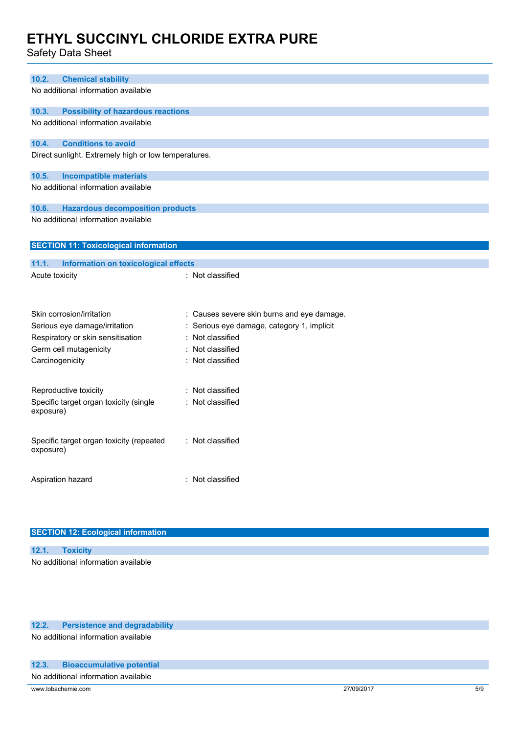Safety Data Sheet

| 10.2.<br><b>Chemical stability</b>                   |                                            |
|------------------------------------------------------|--------------------------------------------|
| No additional information available                  |                                            |
| <b>Possibility of hazardous reactions</b><br>10.3.   |                                            |
| No additional information available                  |                                            |
|                                                      |                                            |
| <b>Conditions to avoid</b><br>10.4.                  |                                            |
| Direct sunlight. Extremely high or low temperatures. |                                            |
|                                                      |                                            |
| 10.5.<br><b>Incompatible materials</b>               |                                            |
| No additional information available                  |                                            |
| 10.6.<br><b>Hazardous decomposition products</b>     |                                            |
| No additional information available                  |                                            |
|                                                      |                                            |
| <b>SECTION 11: Toxicological information</b>         |                                            |
|                                                      |                                            |
| 11.1.<br><b>Information on toxicological effects</b> |                                            |
| Acute toxicity                                       | : Not classified                           |
|                                                      |                                            |
| Skin corrosion/irritation                            | : Causes severe skin burns and eye damage. |
| Serious eye damage/irritation                        | : Serious eye damage, category 1, implicit |
| Respiratory or skin sensitisation                    | : Not classified                           |
| Germ cell mutagenicity                               | : Not classified                           |
| Carcinogenicity                                      | : Not classified                           |
|                                                      |                                            |
| Reproductive toxicity                                | : Not classified                           |
| Specific target organ toxicity (single               | : Not classified                           |
| exposure)                                            |                                            |
|                                                      |                                            |
| Specific target organ toxicity (repeated             | : Not classified                           |
| exposure)                                            |                                            |
|                                                      |                                            |
|                                                      |                                            |
| Aspiration hazard                                    | : Not classified                           |
|                                                      |                                            |

| <b>SECTION 12: Ecological information</b> |  |
|-------------------------------------------|--|
|-------------------------------------------|--|

| 12.1. Toxicity                      |  |  |  |
|-------------------------------------|--|--|--|
| No additional information available |  |  |  |

### **12.2. Persistence and degradability**

No additional information available

### **12.3. Bioaccumulative potential**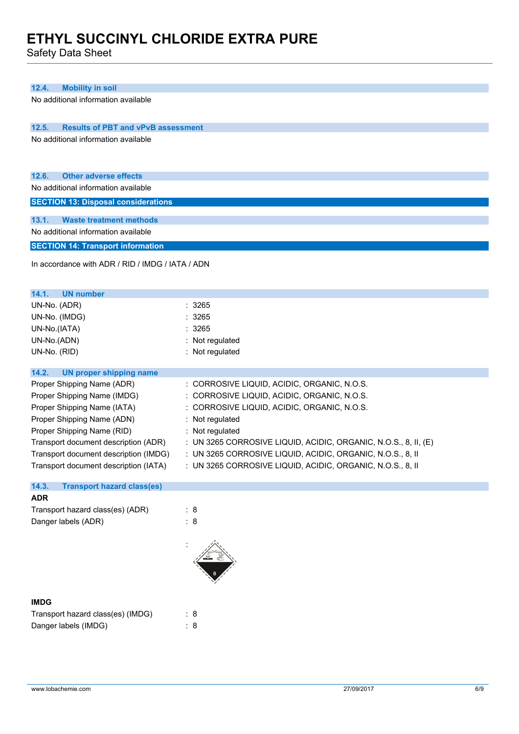Safety Data Sheet

| 12.4.<br><b>Mobility in soil</b>                   |                                                                 |
|----------------------------------------------------|-----------------------------------------------------------------|
| No additional information available                |                                                                 |
|                                                    |                                                                 |
| 12.5.<br><b>Results of PBT and vPvB assessment</b> |                                                                 |
| No additional information available                |                                                                 |
|                                                    |                                                                 |
|                                                    |                                                                 |
| 12.6.<br><b>Other adverse effects</b>              |                                                                 |
| No additional information available                |                                                                 |
| <b>SECTION 13: Disposal considerations</b>         |                                                                 |
| 13.1.<br><b>Waste treatment methods</b>            |                                                                 |
| No additional information available                |                                                                 |
| <b>SECTION 14: Transport information</b>           |                                                                 |
|                                                    |                                                                 |
| In accordance with ADR / RID / IMDG / IATA / ADN   |                                                                 |
|                                                    |                                                                 |
| 14.1.<br><b>UN number</b>                          |                                                                 |
| UN-No. (ADR)                                       | 3265                                                            |
| UN-No. (IMDG)                                      | 3265                                                            |
| UN-No.(IATA)                                       | 3265                                                            |
| UN-No.(ADN)                                        | : Not regulated                                                 |
| UN-No. (RID)                                       | : Not regulated                                                 |
| 14.2.<br><b>UN proper shipping name</b>            |                                                                 |
| Proper Shipping Name (ADR)                         | : CORROSIVE LIQUID, ACIDIC, ORGANIC, N.O.S.                     |
| Proper Shipping Name (IMDG)                        | : CORROSIVE LIQUID, ACIDIC, ORGANIC, N.O.S.                     |
| Proper Shipping Name (IATA)                        | : CORROSIVE LIQUID, ACIDIC, ORGANIC, N.O.S.                     |
| Proper Shipping Name (ADN)                         | : Not regulated                                                 |
| Proper Shipping Name (RID)                         | : Not regulated                                                 |
| Transport document description (ADR)               | : UN 3265 CORROSIVE LIQUID, ACIDIC, ORGANIC, N.O.S., 8, II, (E) |
| Transport document description (IMDG)              | : UN 3265 CORROSIVE LIQUID, ACIDIC, ORGANIC, N.O.S., 8, II      |
| Transport document description (IATA)              | : UN 3265 CORROSIVE LIQUID, ACIDIC, ORGANIC, N.O.S., 8, II      |
| 14.3.<br><b>Transport hazard class(es)</b>         |                                                                 |
| <b>ADR</b>                                         |                                                                 |
| Transport hazard class(es) (ADR)                   | : 8                                                             |
| Danger labels (ADR)                                | : 8                                                             |
|                                                    |                                                                 |
|                                                    |                                                                 |
|                                                    |                                                                 |
|                                                    |                                                                 |
|                                                    |                                                                 |
|                                                    |                                                                 |

| <b>IMDG</b>                       |     |
|-----------------------------------|-----|
| Transport hazard class(es) (IMDG) | : 8 |
| Danger labels (IMDG)              | : 8 |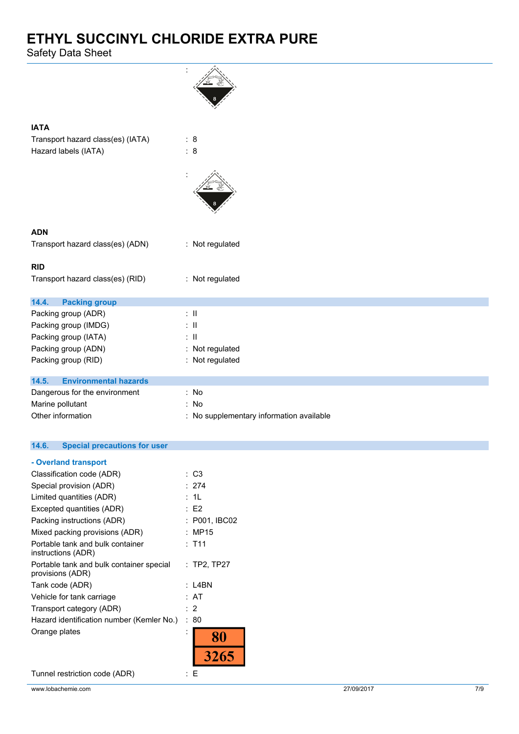Safety Data Sheet

| <b>IATA</b>                           |                                          |
|---------------------------------------|------------------------------------------|
| Transport hazard class(es) (IATA)     | $\therefore$ 8                           |
| Hazard labels (IATA)                  | : 8                                      |
|                                       |                                          |
| <b>ADN</b>                            |                                          |
| Transport hazard class(es) (ADN)      | : Not regulated                          |
|                                       |                                          |
| <b>RID</b>                            |                                          |
| Transport hazard class(es) (RID)      | : Not regulated                          |
| 14.4.<br><b>Packing group</b>         |                                          |
| Packing group (ADR)                   | $\therefore$ $\parallel$                 |
| Packing group (IMDG)                  | $\therefore$ $\parallel$                 |
| Packing group (IATA)                  | $\pm$ 11                                 |
| Packing group (ADN)                   | : Not regulated                          |
| Packing group (RID)                   | : Not regulated                          |
| <b>Environmental hazards</b>          |                                          |
| 14.5.                                 |                                          |
| Dangerous for the environment         | : No                                     |
| Marine pollutant<br>Other information | : No                                     |
|                                       | : No supplementary information available |
|                                       |                                          |

### **14.6. Special precautions for user**

| - Overland transport                                         |               |
|--------------------------------------------------------------|---------------|
| Classification code (ADR)                                    | : C3          |
| Special provision (ADR)                                      | : 274         |
| Limited quantities (ADR)                                     | : 1L          |
| Excepted quantities (ADR)                                    | E2            |
| Packing instructions (ADR)                                   | : P001, IBC02 |
| Mixed packing provisions (ADR)                               | : MP15        |
| Portable tank and bulk container<br>instructions (ADR)       | : T11         |
| Portable tank and bulk container special<br>provisions (ADR) | $:$ TP2, TP27 |
| Tank code (ADR)                                              | : L4BN        |
| Vehicle for tank carriage                                    | : AT          |
| Transport category (ADR)                                     | $\cdot$ 2     |
| Hazard identification number (Kemler No.)                    | : 80          |
| Orange plates                                                |               |
|                                                              | 326           |
|                                                              |               |

Tunnel restriction code (ADR) : E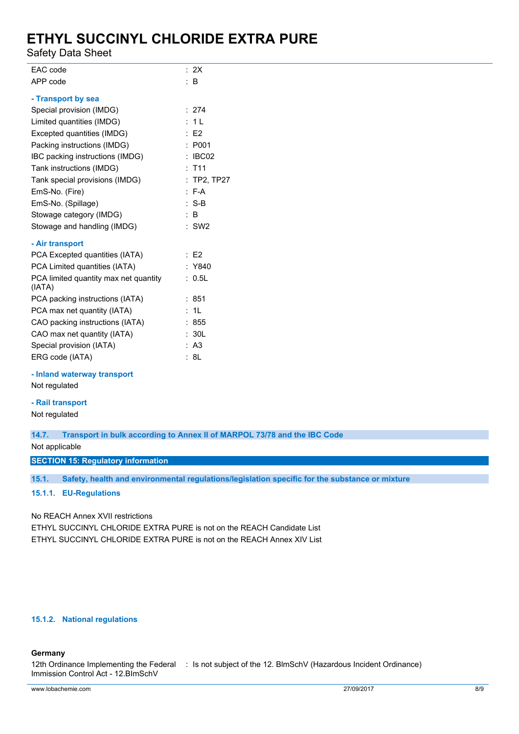Safety Data Sheet

| EAC code                                        | : 2X               |
|-------------------------------------------------|--------------------|
| APP code                                        | $\therefore$ B     |
| - Transport by sea                              |                    |
| Special provision (IMDG)                        | : 274              |
| Limited quantities (IMDG)                       | : 1L               |
| Excepted quantities (IMDG)                      | $\therefore$ E2    |
| Packing instructions (IMDG)                     | : P001             |
| IBC packing instructions (IMDG)                 | $\therefore$ IBC02 |
| Tank instructions (IMDG)                        | : T11              |
| Tank special provisions (IMDG)                  | $:$ TP2, TP27      |
| EmS-No. (Fire)                                  | $: F-A$            |
| EmS-No. (Spillage)                              | $: S-B$            |
| Stowage category (IMDG)                         | $\therefore$ B     |
| Stowage and handling (IMDG)                     | $:$ SW2            |
| - Air transport                                 |                    |
| PCA Excepted quantities (IATA)                  | $\therefore$ E2    |
| PCA Limited quantities (IATA)                   | : Y840             |
| PCA limited quantity max net quantity<br>(IATA) | : 0.5L             |
| PCA packing instructions (IATA)                 | :851               |
| PCA max net quantity (IATA)                     | : 1L               |
| CAO packing instructions (IATA)                 | : 855              |
| CAO max net quantity (IATA)                     | : 30L              |
| Special provision (IATA)                        | : A3               |
| ERG code (IATA)                                 | : 8L               |

**- Inland waterway transport**

Not regulated

### **- Rail transport**

Not regulated

**14.7. Transport in bulk according to Annex II of MARPOL 73/78 and the IBC Code**

Not applicable

**SECTION 15: Regulatory information**

**15.1. Safety, health and environmental regulations/legislation specific for the substance or mixture**

**15.1.1. EU-Regulations**

No REACH Annex XVII restrictions

ETHYL SUCCINYL CHLORIDE EXTRA PURE is not on the REACH Candidate List ETHYL SUCCINYL CHLORIDE EXTRA PURE is not on the REACH Annex XIV List

### **15.1.2. National regulations**

### **Germany**

12th Ordinance Implementing the Federal : Is not subject of the 12. BlmSchV (Hazardous Incident Ordinance)Immission Control Act - 12.BImSchV